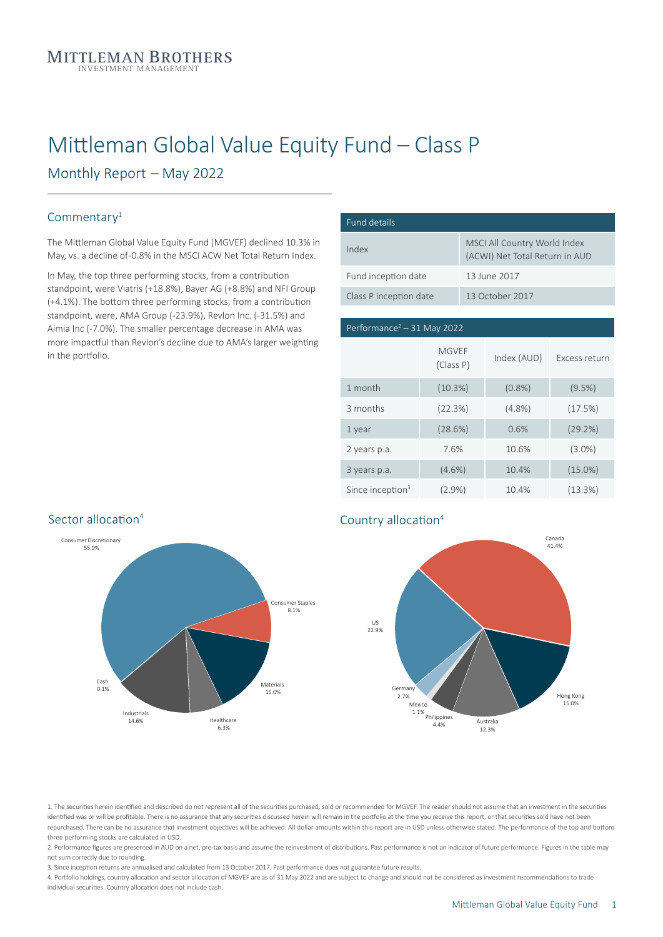# Mittleman Global Value Equity Fund – Class P

Monthly Report – May 2022

#### Commentary<sup>1</sup>

The Mittleman Global Value Equity Fund (MGVEF) declined 10.3% in May, vs. a decline of-0.8% in the MSCI ACW Net Total Return Index.

In May, the top three performing stocks, from a contribution standpoint, were Viatris (+18.8%), Bayer AG (+8.8%) and NFI Group (+4.1%). The bottom three performing stocks, from a contribution standpoint, were, AMA Group (-23.9%), Revlon Inc. (-31.5%) and Aimia Inc (-7.0%). The smaller percentage decrease in AMA was more impactful than Revlon's decline due to AMA's larger weighting in the portfolio.

| Fund details           |                                                                |
|------------------------|----------------------------------------------------------------|
| Index                  | MSCI All Country World Index<br>(ACWI) Net Total Return in AUD |
| Fund inception date    | 13 June 2017                                                   |
| Class P inception date | 13 October 2017                                                |

## $\sqrt{P_{\text{Performance}^2 - 31}}$  May 2022 US 31.6% 3 months (22.3%) (4.8%) (17.5%) Since inception<sup>3</sup> (2.9%) 10.4% (13.3%) MGVEF (Class P) Index (AUD) Excess return 1 month (10.3%) (0.8%) (9.5%) 1 year (28.6%) 0.6% (29.2%) 2 years p.a. 7.6% 10.6% (3.0%) 3 years p.a. (4.6%) 10.4% (15.0%)



#### ation Country allocation<sup>4</sup>



1. The securities herein identified and described do not represent all of the securities purchased, sold or recommended for MGVEF. The reader should not assume that an investment in the securities identified was or will be profitable. There is no assurance that any securities discussed herein will remain in the portfolio at the time you receive this report, or that securities sold have not bee repurchased. There can be no assurance that investment objectives will be achieved. All dollar amounts within this report are in USD unless otherwise stated. The performance of the top and bottom three performing stocks are calculated in USD.

2. Performance figures are presented in AUD on a net, pre-tax basis and assume the reinvestment of distributions. Past performance is not an indicator of future performance. Figures in the table may not sum correctly due to rounding.

3. Since inception returns are annualised and calculated from 13 October 2017. Past performance does not guarantee future results.

4. Portfolio holdings, country allocation and sector allocation of MGVEF are as of 31 May 2022 and are subject to change and should not be considered as investment recommendations to trade individual securities. Country allocation does not include cash.